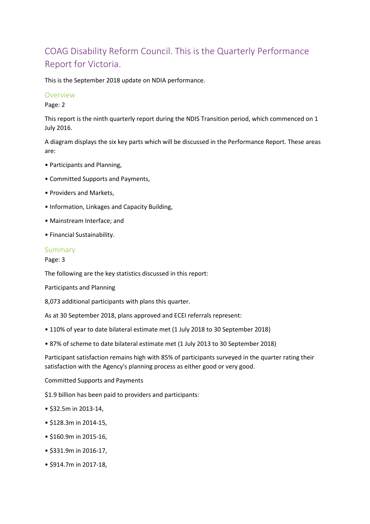# COAG Disability Reform Council. This is the Quarterly Performance Report for Victoria.

This is the September 2018 update on NDIA performance.

### Overview

Page: 2

This report is the ninth quarterly report during the NDIS Transition period, which commenced on 1 July 2016.

A diagram displays the six key parts which will be discussed in the Performance Report. These areas are:

- Participants and Planning,
- Committed Supports and Payments,
- Providers and Markets,
- Information, Linkages and Capacity Building,
- Mainstream Interface; and
- Financial Sustainability.

### Summary

Page: 3

The following are the key statistics discussed in this report:

Participants and Planning

8,073 additional participants with plans this quarter.

As at 30 September 2018, plans approved and ECEI referrals represent:

- 110% of year to date bilateral estimate met (1 July 2018 to 30 September 2018)
- 87% of scheme to date bilateral estimate met (1 July 2013 to 30 September 2018)

Participant satisfaction remains high with 85% of participants surveyed in the quarter rating their satisfaction with the Agency's planning process as either good or very good.

Committed Supports and Payments

\$1.9 billion has been paid to providers and participants:

- \$32.5m in 2013-14,
- \$128.3m in 2014-15,
- \$160.9m in 2015-16,
- \$331.9m in 2016-17,
- \$914.7m in 2017-18,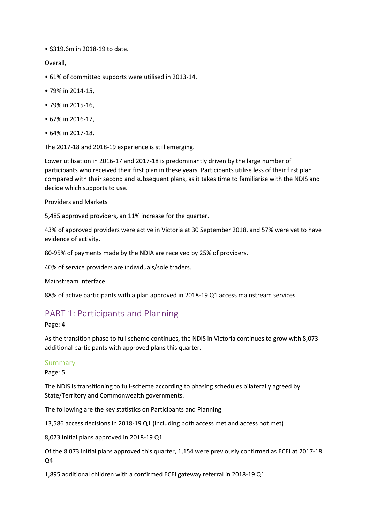• \$319.6m in 2018-19 to date.

Overall,

- 61% of committed supports were utilised in 2013-14,
- 79% in 2014-15,
- 79% in 2015-16,
- 67% in 2016-17,
- 64% in 2017-18.

The 2017-18 and 2018-19 experience is still emerging.

Lower utilisation in 2016-17 and 2017-18 is predominantly driven by the large number of participants who received their first plan in these years. Participants utilise less of their first plan compared with their second and subsequent plans, as it takes time to familiarise with the NDIS and decide which supports to use.

Providers and Markets

5,485 approved providers, an 11% increase for the quarter.

43% of approved providers were active in Victoria at 30 September 2018, and 57% were yet to have evidence of activity.

80-95% of payments made by the NDIA are received by 25% of providers.

40% of service providers are individuals/sole traders.

Mainstream Interface

88% of active participants with a plan approved in 2018-19 Q1 access mainstream services.

### PART 1: Participants and Planning

Page: 4

As the transition phase to full scheme continues, the NDIS in Victoria continues to grow with 8,073 additional participants with approved plans this quarter.

### Summary

Page: 5

The NDIS is transitioning to full-scheme according to phasing schedules bilaterally agreed by State/Territory and Commonwealth governments.

The following are the key statistics on Participants and Planning:

13,586 access decisions in 2018-19 Q1 (including both access met and access not met)

8,073 initial plans approved in 2018-19 Q1

Of the 8,073 initial plans approved this quarter, 1,154 were previously confirmed as ECEI at 2017-18 Q4

1,895 additional children with a confirmed ECEI gateway referral in 2018-19 Q1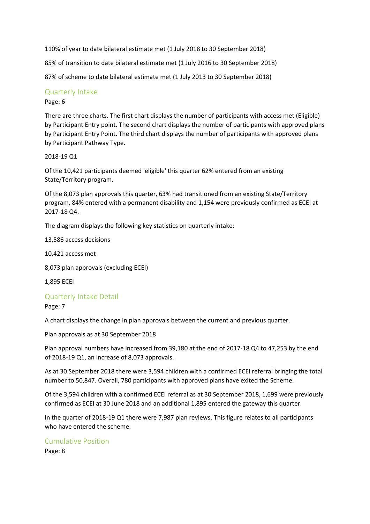110% of year to date bilateral estimate met (1 July 2018 to 30 September 2018)

85% of transition to date bilateral estimate met (1 July 2016 to 30 September 2018)

87% of scheme to date bilateral estimate met (1 July 2013 to 30 September 2018)

### Quarterly Intake

### Page: 6

There are three charts. The first chart displays the number of participants with access met (Eligible) by Participant Entry point. The second chart displays the number of participants with approved plans by Participant Entry Point. The third chart displays the number of participants with approved plans by Participant Pathway Type.

### 2018-19 Q1

Of the 10,421 participants deemed 'eligible' this quarter 62% entered from an existing State/Territory program.

Of the 8,073 plan approvals this quarter, 63% had transitioned from an existing State/Territory program, 84% entered with a permanent disability and 1,154 were previously confirmed as ECEI at 2017-18 Q4.

The diagram displays the following key statistics on quarterly intake:

13,586 access decisions

10,421 access met

8,073 plan approvals (excluding ECEI)

1,895 ECEI

### Quarterly Intake Detail

Page: 7

A chart displays the change in plan approvals between the current and previous quarter.

Plan approvals as at 30 September 2018

Plan approval numbers have increased from 39,180 at the end of 2017-18 Q4 to 47,253 by the end of 2018-19 Q1, an increase of 8,073 approvals.

As at 30 September 2018 there were 3,594 children with a confirmed ECEI referral bringing the total number to 50,847. Overall, 780 participants with approved plans have exited the Scheme.

Of the 3,594 children with a confirmed ECEI referral as at 30 September 2018, 1,699 were previously confirmed as ECEI at 30 June 2018 and an additional 1,895 entered the gateway this quarter.

In the quarter of 2018-19 Q1 there were 7,987 plan reviews. This figure relates to all participants who have entered the scheme.

### Cumulative Position

Page: 8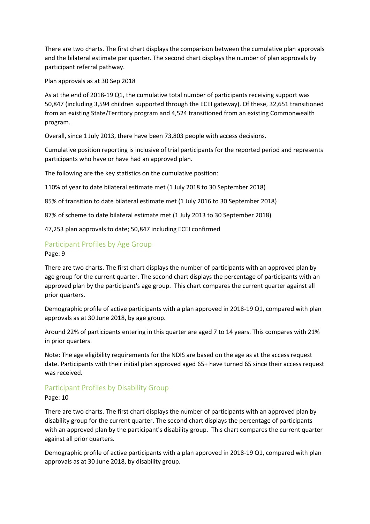There are two charts. The first chart displays the comparison between the cumulative plan approvals and the bilateral estimate per quarter. The second chart displays the number of plan approvals by participant referral pathway.

Plan approvals as at 30 Sep 2018

As at the end of 2018-19 Q1, the cumulative total number of participants receiving support was 50,847 (including 3,594 children supported through the ECEI gateway). Of these, 32,651 transitioned from an existing State/Territory program and 4,524 transitioned from an existing Commonwealth program.

Overall, since 1 July 2013, there have been 73,803 people with access decisions.

Cumulative position reporting is inclusive of trial participants for the reported period and represents participants who have or have had an approved plan.

The following are the key statistics on the cumulative position:

110% of year to date bilateral estimate met (1 July 2018 to 30 September 2018)

85% of transition to date bilateral estimate met (1 July 2016 to 30 September 2018)

87% of scheme to date bilateral estimate met (1 July 2013 to 30 September 2018)

47,253 plan approvals to date; 50,847 including ECEI confirmed

### Participant Profiles by Age Group

Page: 9

There are two charts. The first chart displays the number of participants with an approved plan by age group for the current quarter. The second chart displays the percentage of participants with an approved plan by the participant's age group. This chart compares the current quarter against all prior quarters.

Demographic profile of active participants with a plan approved in 2018-19 Q1, compared with plan approvals as at 30 June 2018, by age group.

Around 22% of participants entering in this quarter are aged 7 to 14 years. This compares with 21% in prior quarters.

Note: The age eligibility requirements for the NDIS are based on the age as at the access request date. Participants with their initial plan approved aged 65+ have turned 65 since their access request was received.

### Participant Profiles by Disability Group

Page: 10

There are two charts. The first chart displays the number of participants with an approved plan by disability group for the current quarter. The second chart displays the percentage of participants with an approved plan by the participant's disability group. This chart compares the current quarter against all prior quarters.

Demographic profile of active participants with a plan approved in 2018-19 Q1, compared with plan approvals as at 30 June 2018, by disability group.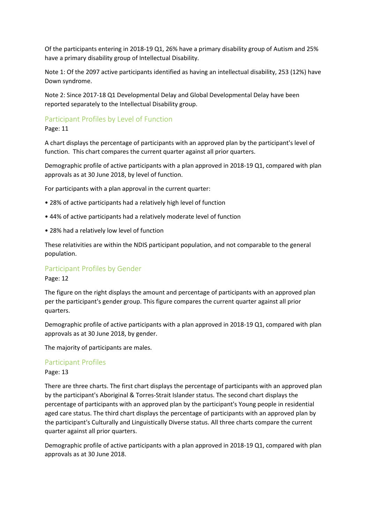Of the participants entering in 2018-19 Q1, 26% have a primary disability group of Autism and 25% have a primary disability group of Intellectual Disability.

Note 1: Of the 2097 active participants identified as having an intellectual disability, 253 (12%) have Down syndrome.

Note 2: Since 2017-18 Q1 Developmental Delay and Global Developmental Delay have been reported separately to the Intellectual Disability group.

### Participant Profiles by Level of Function

Page: 11

A chart displays the percentage of participants with an approved plan by the participant's level of function. This chart compares the current quarter against all prior quarters.

Demographic profile of active participants with a plan approved in 2018-19 Q1, compared with plan approvals as at 30 June 2018, by level of function.

For participants with a plan approval in the current quarter:

- 28% of active participants had a relatively high level of function
- 44% of active participants had a relatively moderate level of function
- 28% had a relatively low level of function

These relativities are within the NDIS participant population, and not comparable to the general population.

### Participant Profiles by Gender

Page: 12

The figure on the right displays the amount and percentage of participants with an approved plan per the participant's gender group. This figure compares the current quarter against all prior quarters.

Demographic profile of active participants with a plan approved in 2018-19 Q1, compared with plan approvals as at 30 June 2018, by gender.

The majority of participants are males.

### Participant Profiles

### Page: 13

There are three charts. The first chart displays the percentage of participants with an approved plan by the participant's Aboriginal & Torres-Strait Islander status. The second chart displays the percentage of participants with an approved plan by the participant's Young people in residential aged care status. The third chart displays the percentage of participants with an approved plan by the participant's Culturally and Linguistically Diverse status. All three charts compare the current quarter against all prior quarters.

Demographic profile of active participants with a plan approved in 2018-19 Q1, compared with plan approvals as at 30 June 2018.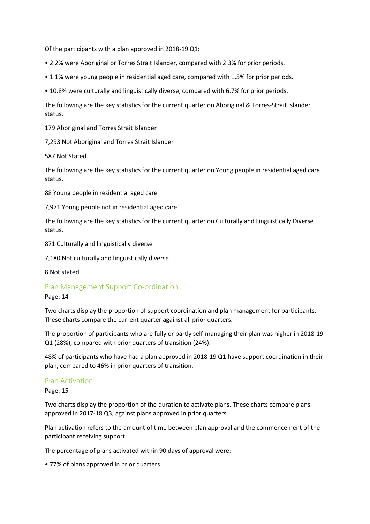Of the participants with a plan approved in 2018-19 Q1:

- 2.2% were Aboriginal or Torres Strait Islander, compared with 2.3% for prior periods.
- 1.1% were young people in residential aged care, compared with 1.5% for prior periods.
- 10.8% were culturally and linguistically diverse, compared with 6.7% for prior periods.

The following are the key statistics for the current quarter on Aboriginal & Torres-Strait Islander status.

179 Aboriginal and Torres Strait Islander

7,293 Not Aboriginal and Torres Strait Islander

587 Not Stated

The following are the key statistics for the current quarter on Young people in residential aged care status.

88 Young people in residential aged care

7,971 Young people not in residential aged care

The following are the key statistics for the current quarter on Culturally and Linguistically Diverse status.

871 Culturally and linguistically diverse

7,180 Not culturally and linguistically diverse

8 Not stated

### Plan Management Support Co-ordination

### Page: 14

Two charts display the proportion of support coordination and plan management for participants. These charts compare the current quarter against all prior quarters.

The proportion of participants who are fully or partly self-managing their plan was higher in 2018-19 Q1 (28%), compared with prior quarters of transition (24%).

48% of participants who have had a plan approved in 2018-19 Q1 have support coordination in their plan, compared to 46% in prior quarters of transition.

### Plan Activation

Page: 15

Two charts display the proportion of the duration to activate plans. These charts compare plans approved in 2017-18 Q3, against plans approved in prior quarters.

Plan activation refers to the amount of time between plan approval and the commencement of the participant receiving support.

The percentage of plans activated within 90 days of approval were:

• 77% of plans approved in prior quarters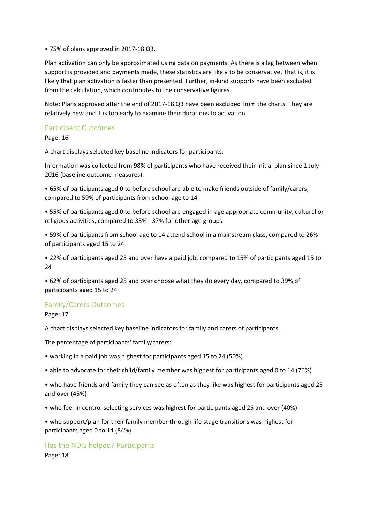• 75% of plans approved in 2017-18 Q3.

Plan activation can only be approximated using data on payments. As there is a lag between when support is provided and payments made, these statistics are likely to be conservative. That is, it is likely that plan activation is faster than presented. Further, in-kind supports have been excluded from the calculation, which contributes to the conservative figures.

Note: Plans approved after the end of 2017-18 Q3 have been excluded from the charts. They are relatively new and it is too early to examine their durations to activation.

### Participant Outcomes

Page: 16

A chart displays selected key baseline indicators for participants.

Information was collected from 98% of participants who have received their initial plan since 1 July 2016 (baseline outcome measures).

• 65% of participants aged 0 to before school are able to make friends outside of family/carers, compared to 59% of participants from school age to 14

• 55% of participants aged 0 to before school are engaged in age appropriate community, cultural or religious activities, compared to 33% - 37% for other age groups

• 59% of participants from school age to 14 attend school in a mainstream class, compared to 26% of participants aged 15 to 24

• 22% of participants aged 25 and over have a paid job, compared to 15% of participants aged 15 to 24

• 62% of participants aged 25 and over choose what they do every day, compared to 39% of participants aged 15 to 24

### Family/Carers Outcomes

Page: 17

A chart displays selected key baseline indicators for family and carers of participants.

The percentage of participants' family/carers:

• working in a paid job was highest for participants aged 15 to 24 (50%)

• able to advocate for their child/family member was highest for participants aged 0 to 14 (76%)

• who have friends and family they can see as often as they like was highest for participants aged 25 and over (45%)

• who feel in control selecting services was highest for participants aged 25 and over (40%)

• who support/plan for their family member through life stage transitions was highest for participants aged 0 to 14 (84%)

Has the NDIS helped? Participants Page: 18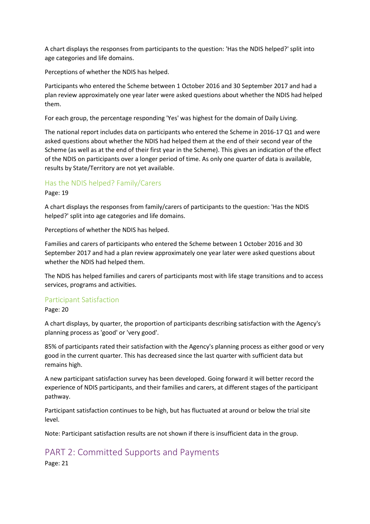A chart displays the responses from participants to the question: 'Has the NDIS helped?' split into age categories and life domains.

Perceptions of whether the NDIS has helped.

Participants who entered the Scheme between 1 October 2016 and 30 September 2017 and had a plan review approximately one year later were asked questions about whether the NDIS had helped them.

For each group, the percentage responding 'Yes' was highest for the domain of Daily Living.

The national report includes data on participants who entered the Scheme in 2016-17 Q1 and were asked questions about whether the NDIS had helped them at the end of their second year of the Scheme (as well as at the end of their first year in the Scheme). This gives an indication of the effect of the NDIS on participants over a longer period of time. As only one quarter of data is available, results by State/Territory are not yet available.

### Has the NDIS helped? Family/Carers

Page: 19

A chart displays the responses from family/carers of participants to the question: 'Has the NDIS helped?' split into age categories and life domains.

Perceptions of whether the NDIS has helped.

Families and carers of participants who entered the Scheme between 1 October 2016 and 30 September 2017 and had a plan review approximately one year later were asked questions about whether the NDIS had helped them.

The NDIS has helped families and carers of participants most with life stage transitions and to access services, programs and activities.

### Participant Satisfaction

Page: 20

A chart displays, by quarter, the proportion of participants describing satisfaction with the Agency's planning process as 'good' or 'very good'.

85% of participants rated their satisfaction with the Agency's planning process as either good or very good in the current quarter. This has decreased since the last quarter with sufficient data but remains high.

A new participant satisfaction survey has been developed. Going forward it will better record the experience of NDIS participants, and their families and carers, at different stages of the participant pathway.

Participant satisfaction continues to be high, but has fluctuated at around or below the trial site level.

Note: Participant satisfaction results are not shown if there is insufficient data in the group.

## PART 2: Committed Supports and Payments

Page: 21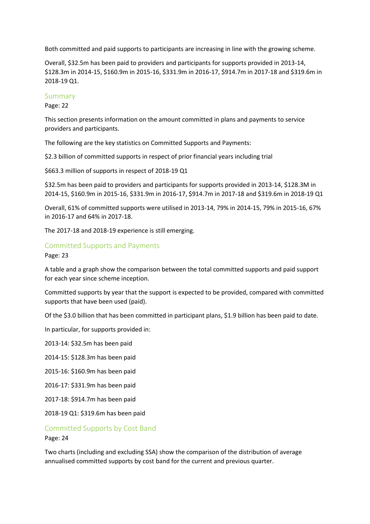Both committed and paid supports to participants are increasing in line with the growing scheme.

Overall, \$32.5m has been paid to providers and participants for supports provided in 2013-14, \$128.3m in 2014-15, \$160.9m in 2015-16, \$331.9m in 2016-17, \$914.7m in 2017-18 and \$319.6m in 2018-19 Q1.

### Summary

Page: 22

This section presents information on the amount committed in plans and payments to service providers and participants.

The following are the key statistics on Committed Supports and Payments:

\$2.3 billion of committed supports in respect of prior financial years including trial

\$663.3 million of supports in respect of 2018-19 Q1

\$32.5m has been paid to providers and participants for supports provided in 2013-14, \$128.3M in 2014-15, \$160.9m in 2015-16, \$331.9m in 2016-17, \$914.7m in 2017-18 and \$319.6m in 2018-19 Q1

Overall, 61% of committed supports were utilised in 2013-14, 79% in 2014-15, 79% in 2015-16, 67% in 2016-17 and 64% in 2017-18.

The 2017-18 and 2018-19 experience is still emerging.

### Committed Supports and Payments

Page: 23

A table and a graph show the comparison between the total committed supports and paid support for each year since scheme inception.

Committed supports by year that the support is expected to be provided, compared with committed supports that have been used (paid).

Of the \$3.0 billion that has been committed in participant plans, \$1.9 billion has been paid to date.

In particular, for supports provided in:

2013-14: \$32.5m has been paid

2014-15: \$128.3m has been paid

2015-16: \$160.9m has been paid

2016-17: \$331.9m has been paid

2017-18: \$914.7m has been paid

2018-19 Q1: \$319.6m has been paid

# Committed Supports by Cost Band

Page: 24

Two charts (including and excluding SSA) show the comparison of the distribution of average annualised committed supports by cost band for the current and previous quarter.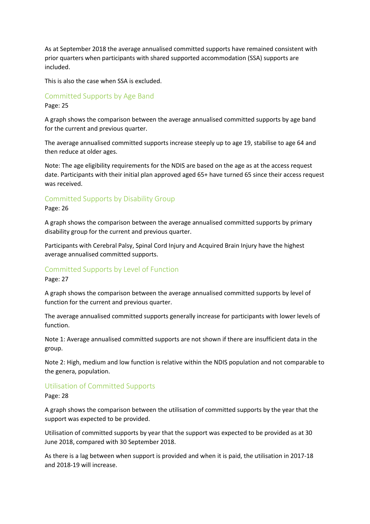As at September 2018 the average annualised committed supports have remained consistent with prior quarters when participants with shared supported accommodation (SSA) supports are included.

This is also the case when SSA is excluded.

### Committed Supports by Age Band

Page: 25

A graph shows the comparison between the average annualised committed supports by age band for the current and previous quarter.

The average annualised committed supports increase steeply up to age 19, stabilise to age 64 and then reduce at older ages.

Note: The age eligibility requirements for the NDIS are based on the age as at the access request date. Participants with their initial plan approved aged 65+ have turned 65 since their access request was received.

### Committed Supports by Disability Group

#### Page: 26

A graph shows the comparison between the average annualised committed supports by primary disability group for the current and previous quarter.

Participants with Cerebral Palsy, Spinal Cord Injury and Acquired Brain Injury have the highest average annualised committed supports.

### Committed Supports by Level of Function

Page: 27

A graph shows the comparison between the average annualised committed supports by level of function for the current and previous quarter.

The average annualised committed supports generally increase for participants with lower levels of function.

Note 1: Average annualised committed supports are not shown if there are insufficient data in the group.

Note 2: High, medium and low function is relative within the NDIS population and not comparable to the genera, population.

### Utilisation of Committed Supports

Page: 28

A graph shows the comparison between the utilisation of committed supports by the year that the support was expected to be provided.

Utilisation of committed supports by year that the support was expected to be provided as at 30 June 2018, compared with 30 September 2018.

As there is a lag between when support is provided and when it is paid, the utilisation in 2017-18 and 2018-19 will increase.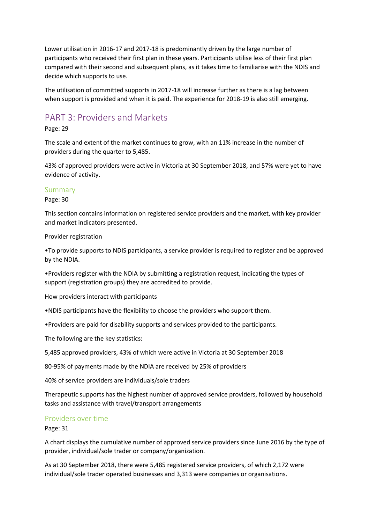Lower utilisation in 2016-17 and 2017-18 is predominantly driven by the large number of participants who received their first plan in these years. Participants utilise less of their first plan compared with their second and subsequent plans, as it takes time to familiarise with the NDIS and decide which supports to use.

The utilisation of committed supports in 2017-18 will increase further as there is a lag between when support is provided and when it is paid. The experience for 2018-19 is also still emerging.

## PART 3: Providers and Markets

Page: 29

The scale and extent of the market continues to grow, with an 11% increase in the number of providers during the quarter to 5,485.

43% of approved providers were active in Victoria at 30 September 2018, and 57% were yet to have evidence of activity.

### Summary

Page: 30

This section contains information on registered service providers and the market, with key provider and market indicators presented.

Provider registration

•To provide supports to NDIS participants, a service provider is required to register and be approved by the NDIA.

•Providers register with the NDIA by submitting a registration request, indicating the types of support (registration groups) they are accredited to provide.

How providers interact with participants

•NDIS participants have the flexibility to choose the providers who support them.

•Providers are paid for disability supports and services provided to the participants.

The following are the key statistics:

5,485 approved providers, 43% of which were active in Victoria at 30 September 2018

80-95% of payments made by the NDIA are received by 25% of providers

40% of service providers are individuals/sole traders

Therapeutic supports has the highest number of approved service providers, followed by household tasks and assistance with travel/transport arrangements

### Providers over time

Page: 31

A chart displays the cumulative number of approved service providers since June 2016 by the type of provider, individual/sole trader or company/organization.

As at 30 September 2018, there were 5,485 registered service providers, of which 2,172 were individual/sole trader operated businesses and 3,313 were companies or organisations.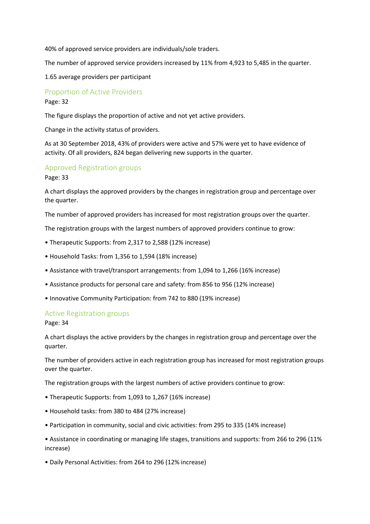40% of approved service providers are individuals/sole traders.

The number of approved service providers increased by 11% from 4,923 to 5,485 in the quarter.

1.65 average providers per participant

Proportion of Active Providers

Page: 32

The figure displays the proportion of active and not yet active providers.

Change in the activity status of providers.

As at 30 September 2018, 43% of providers were active and 57% were yet to have evidence of activity. Of all providers, 824 began delivering new supports in the quarter.

### Approved Registration groups

Page: 33

A chart displays the approved providers by the changes in registration group and percentage over the quarter.

The number of approved providers has increased for most registration groups over the quarter.

The registration groups with the largest numbers of approved providers continue to grow:

- Therapeutic Supports: from 2,317 to 2,588 (12% increase)
- Household Tasks: from 1,356 to 1,594 (18% increase)
- Assistance with travel/transport arrangements: from 1,094 to 1,266 (16% increase)
- Assistance products for personal care and safety: from 856 to 956 (12% increase)
- Innovative Community Participation: from 742 to 880 (19% increase)

### Active Registration groups

Page: 34

A chart displays the active providers by the changes in registration group and percentage over the quarter.

The number of providers active in each registration group has increased for most registration groups over the quarter.

The registration groups with the largest numbers of active providers continue to grow:

- Therapeutic Supports: from 1,093 to 1,267 (16% increase)
- Household tasks: from 380 to 484 (27% increase)
- Participation in community, social and civic activities: from 295 to 335 (14% increase)
- Assistance in coordinating or managing life stages, transitions and supports: from 266 to 296 (11% increase)
- Daily Personal Activities: from 264 to 296 (12% increase)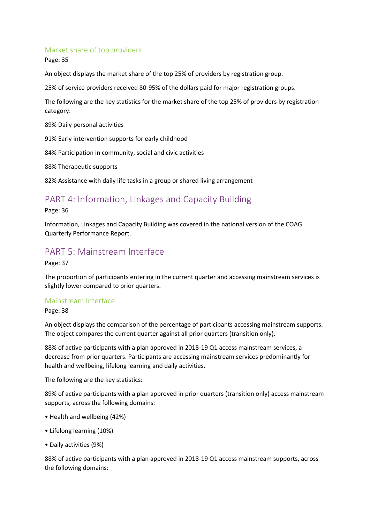### Market share of top providers

Page: 35

An object displays the market share of the top 25% of providers by registration group.

25% of service providers received 80-95% of the dollars paid for major registration groups.

The following are the key statistics for the market share of the top 25% of providers by registration category:

89% Daily personal activities

91% Early intervention supports for early childhood

84% Participation in community, social and civic activities

88% Therapeutic supports

82% Assistance with daily life tasks in a group or shared living arrangement

## PART 4: Information, Linkages and Capacity Building

Page: 36

Information, Linkages and Capacity Building was covered in the national version of the COAG Quarterly Performance Report.

### PART 5: Mainstream Interface

Page: 37

The proportion of participants entering in the current quarter and accessing mainstream services is slightly lower compared to prior quarters.

### Mainstream Interface

Page: 38

An object displays the comparison of the percentage of participants accessing mainstream supports. The object compares the current quarter against all prior quarters (transition only).

88% of active participants with a plan approved in 2018-19 Q1 access mainstream services, a decrease from prior quarters. Participants are accessing mainstream services predominantly for health and wellbeing, lifelong learning and daily activities.

The following are the key statistics:

89% of active participants with a plan approved in prior quarters (transition only) access mainstream supports, across the following domains:

- Health and wellbeing (42%)
- Lifelong learning (10%)
- Daily activities (9%)

88% of active participants with a plan approved in 2018-19 Q1 access mainstream supports, across the following domains: